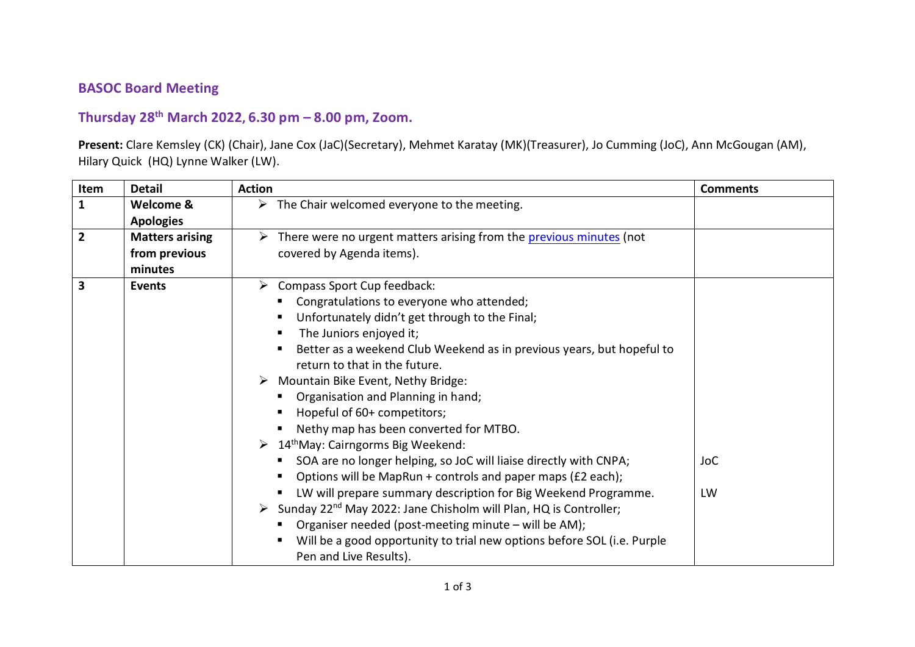## **BASOC Board Meeting**

## **Thursday 28th March 2022, 6.30 pm – 8.00 pm, Zoom.**

**Present:** Clare Kemsley (CK) (Chair), Jane Cox (JaC)(Secretary), Mehmet Karatay (MK)(Treasurer), Jo Cumming (JoC), Ann McGougan (AM), Hilary Quick (HQ) Lynne Walker (LW).

| Item               | <b>Detail</b>          | <b>Action</b>                                                                  | <b>Comments</b> |
|--------------------|------------------------|--------------------------------------------------------------------------------|-----------------|
| $\mathbf{1}$       | Welcome &              | $\triangleright$ The Chair welcomed everyone to the meeting.                   |                 |
|                    | <b>Apologies</b>       |                                                                                |                 |
| $\overline{2}$     | <b>Matters arising</b> | > There were no urgent matters arising from the previous minutes (not          |                 |
|                    | from previous          | covered by Agenda items).                                                      |                 |
|                    | minutes                |                                                                                |                 |
| 3<br><b>Events</b> |                        | $\triangleright$ Compass Sport Cup feedback:                                   |                 |
|                    |                        | Congratulations to everyone who attended;                                      |                 |
|                    |                        | Unfortunately didn't get through to the Final;<br>п.                           |                 |
|                    |                        | The Juniors enjoyed it;                                                        |                 |
|                    |                        | Better as a weekend Club Weekend as in previous years, but hopeful to          |                 |
|                    |                        | return to that in the future.                                                  |                 |
|                    |                        | $\triangleright$ Mountain Bike Event, Nethy Bridge:                            |                 |
|                    |                        | Organisation and Planning in hand;                                             |                 |
|                    |                        | Hopeful of 60+ competitors;                                                    |                 |
|                    |                        | Nethy map has been converted for MTBO.                                         |                 |
|                    |                        | $\triangleright$ 14 <sup>th</sup> May: Cairngorms Big Weekend:                 |                 |
|                    |                        | SOA are no longer helping, so JoC will liaise directly with CNPA;              | <b>JoC</b>      |
|                    |                        | Options will be MapRun + controls and paper maps (£2 each);                    |                 |
|                    |                        | LW will prepare summary description for Big Weekend Programme.<br>п.           | LW              |
|                    |                        | > Sunday 22 <sup>nd</sup> May 2022: Jane Chisholm will Plan, HQ is Controller; |                 |
|                    |                        | Organiser needed (post-meeting minute - will be AM);                           |                 |
|                    |                        | Will be a good opportunity to trial new options before SOL (i.e. Purple        |                 |
|                    |                        | Pen and Live Results).                                                         |                 |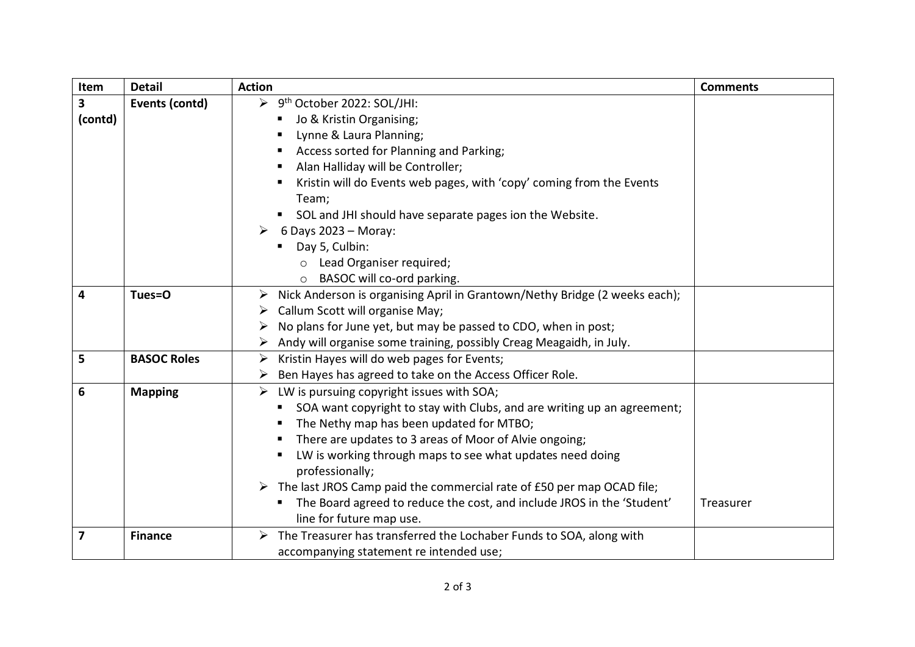| Item                    | <b>Detail</b>      | <b>Action</b>                                                                | <b>Comments</b> |
|-------------------------|--------------------|------------------------------------------------------------------------------|-----------------|
| $\overline{\mathbf{3}}$ | Events (contd)     | → 9 <sup>th</sup> October 2022: SOL/JHI:                                     |                 |
| (contd)                 |                    | Jo & Kristin Organising;<br>п                                                |                 |
|                         |                    | Lynne & Laura Planning;<br>п                                                 |                 |
|                         |                    | Access sorted for Planning and Parking;<br>п                                 |                 |
|                         |                    | Alan Halliday will be Controller;<br>п                                       |                 |
|                         |                    | Kristin will do Events web pages, with 'copy' coming from the Events<br>п    |                 |
|                         |                    | Team;                                                                        |                 |
|                         |                    | SOL and JHI should have separate pages ion the Website.                      |                 |
|                         |                    | 6 Days 2023 - Moray:<br>$\triangleright$                                     |                 |
|                         |                    | Day 5, Culbin:<br>٠                                                          |                 |
|                         |                    | o Lead Organiser required;                                                   |                 |
|                         |                    | BASOC will co-ord parking.                                                   |                 |
| 4                       | Tues=O             | > Nick Anderson is organising April in Grantown/Nethy Bridge (2 weeks each); |                 |
|                         |                    | Callum Scott will organise May;                                              |                 |
|                         |                    | No plans for June yet, but may be passed to CDO, when in post;               |                 |
|                         |                    | Andy will organise some training, possibly Creag Meagaidh, in July.          |                 |
| 5                       | <b>BASOC Roles</b> | Kristin Hayes will do web pages for Events;<br>$\blacktriangleright$         |                 |
|                         |                    | Ben Hayes has agreed to take on the Access Officer Role.                     |                 |
| 6                       | <b>Mapping</b>     | LW is pursuing copyright issues with SOA;<br>$\blacktriangleright$           |                 |
|                         |                    | SOA want copyright to stay with Clubs, and are writing up an agreement;      |                 |
|                         |                    | The Nethy map has been updated for MTBO;                                     |                 |
|                         |                    | There are updates to 3 areas of Moor of Alvie ongoing;<br>п                  |                 |
|                         |                    | LW is working through maps to see what updates need doing<br>п               |                 |
|                         |                    | professionally;                                                              |                 |
|                         |                    | > The last JROS Camp paid the commercial rate of £50 per map OCAD file;      |                 |
|                         |                    | The Board agreed to reduce the cost, and include JROS in the 'Student'<br>п. | Treasurer       |
|                         |                    | line for future map use.                                                     |                 |
| $\overline{\mathbf{z}}$ | <b>Finance</b>     | The Treasurer has transferred the Lochaber Funds to SOA, along with<br>➤     |                 |
|                         |                    | accompanying statement re intended use;                                      |                 |